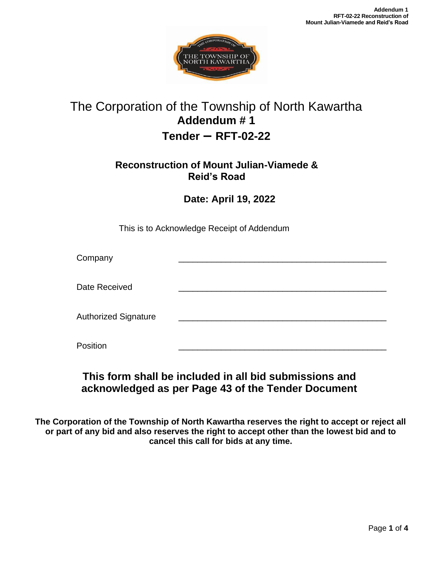

# The Corporation of the Township of North Kawartha **Addendum # 1 Tender – RFT-02-22**

### **Reconstruction of Mount Julian-Viamede & Reid's Road**

**Date: April 19, 2022**

This is to Acknowledge Receipt of Addendum

| Company                     |  |
|-----------------------------|--|
| Date Received               |  |
| <b>Authorized Signature</b> |  |
| Position                    |  |

## **This form shall be included in all bid submissions and acknowledged as per Page 43 of the Tender Document**

**The Corporation of the Township of North Kawartha reserves the right to accept or reject all or part of any bid and also reserves the right to accept other than the lowest bid and to cancel this call for bids at any time.**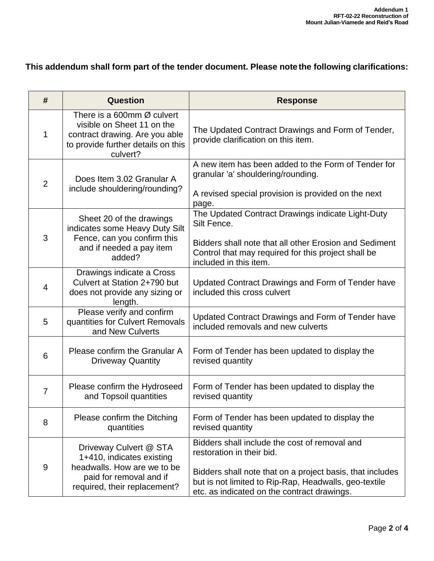### **This addendum shall form part of the tender document. Please note the following clarifications:**

| #              | Question                                                                                                                                      | <b>Response</b>                                                                                                                                                                                                                                 |
|----------------|-----------------------------------------------------------------------------------------------------------------------------------------------|-------------------------------------------------------------------------------------------------------------------------------------------------------------------------------------------------------------------------------------------------|
| 1              | There is a 600mm Ø culvert<br>visible on Sheet 11 on the<br>contract drawing. Are you able<br>to provide further details on this<br>culvert?  | The Updated Contract Drawings and Form of Tender,<br>provide clarification on this item.                                                                                                                                                        |
| $\overline{2}$ | Does Item 3.02 Granular A<br>include shouldering/rounding?                                                                                    | A new item has been added to the Form of Tender for<br>granular 'a' shouldering/rounding.<br>A revised special provision is provided on the next<br>page.                                                                                       |
| 3              | Sheet 20 of the drawings<br>indicates some Heavy Duty Silt<br>Fence, can you confirm this<br>and if needed a pay item<br>added?               | The Updated Contract Drawings indicate Light-Duty<br>Silt Fence.<br>Bidders shall note that all other Erosion and Sediment<br>Control that may required for this project shall be<br>included in this item.                                     |
| 4              | Drawings indicate a Cross<br>Culvert at Station 2+790 but<br>does not provide any sizing or<br>length.                                        | Updated Contract Drawings and Form of Tender have<br>included this cross culvert                                                                                                                                                                |
| 5              | Please verify and confirm<br>quantities for Culvert Removals<br>and New Culverts                                                              | Updated Contract Drawings and Form of Tender have<br>included removals and new culverts                                                                                                                                                         |
| 6              | Please confirm the Granular A<br><b>Driveway Quantity</b>                                                                                     | Form of Tender has been updated to display the<br>revised quantity                                                                                                                                                                              |
| $\overline{7}$ | Please confirm the Hydroseed<br>and Topsoil quantities                                                                                        | Form of Tender has been updated to display the<br>revised quantity                                                                                                                                                                              |
| 8              | Please confirm the Ditching<br>quantities                                                                                                     | Form of Tender has been updated to display the<br>revised quantity                                                                                                                                                                              |
| 9              | Driveway Culvert @ STA<br>1+410, indicates existing<br>headwalls. How are we to be<br>paid for removal and if<br>required, their replacement? | Bidders shall include the cost of removal and<br>restoration in their bid.<br>Bidders shall note that on a project basis, that includes<br>but is not limited to Rip-Rap, Headwalls, geo-textile<br>etc. as indicated on the contract drawings. |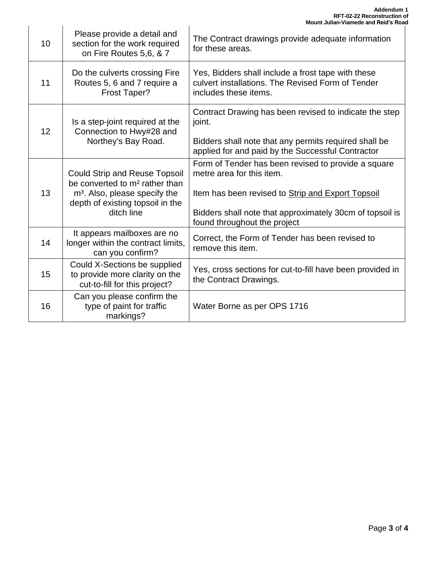|    |                                                                                                                                                                                   | <b>MOUNT JUNISIN-VIAMEGE AND REIG'S ROA</b>                                                                                                                                                                                       |
|----|-----------------------------------------------------------------------------------------------------------------------------------------------------------------------------------|-----------------------------------------------------------------------------------------------------------------------------------------------------------------------------------------------------------------------------------|
| 10 | Please provide a detail and<br>section for the work required<br>on Fire Routes 5,6, & 7                                                                                           | The Contract drawings provide adequate information<br>for these areas.                                                                                                                                                            |
| 11 | Do the culverts crossing Fire<br>Routes 5, 6 and 7 require a<br><b>Frost Taper?</b>                                                                                               | Yes, Bidders shall include a frost tape with these<br>culvert installations. The Revised Form of Tender<br>includes these items.                                                                                                  |
| 12 | Is a step-joint required at the<br>Connection to Hwy#28 and<br>Northey's Bay Road.                                                                                                | Contract Drawing has been revised to indicate the step<br>joint.<br>Bidders shall note that any permits required shall be<br>applied for and paid by the Successful Contractor                                                    |
| 13 | <b>Could Strip and Reuse Topsoil</b><br>be converted to m <sup>2</sup> rather than<br>m <sup>3</sup> . Also, please specify the<br>depth of existing topsoil in the<br>ditch line | Form of Tender has been revised to provide a square<br>metre area for this item.<br>Item has been revised to Strip and Export Topsoil<br>Bidders shall note that approximately 30cm of topsoil is<br>found throughout the project |
| 14 | It appears mailboxes are no<br>longer within the contract limits,<br>can you confirm?                                                                                             | Correct, the Form of Tender has been revised to<br>remove this item.                                                                                                                                                              |
| 15 | Could X-Sections be supplied<br>to provide more clarity on the<br>cut-to-fill for this project?                                                                                   | Yes, cross sections for cut-to-fill have been provided in<br>the Contract Drawings.                                                                                                                                               |
| 16 | Can you please confirm the<br>type of paint for traffic<br>markings?                                                                                                              | Water Borne as per OPS 1716                                                                                                                                                                                                       |